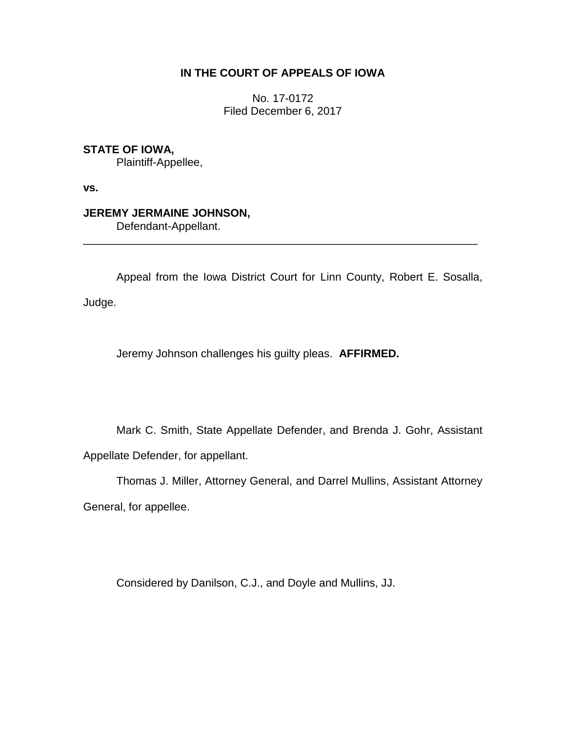## **IN THE COURT OF APPEALS OF IOWA**

No. 17-0172 Filed December 6, 2017

**STATE OF IOWA,**

Plaintiff-Appellee,

**vs.**

## **JEREMY JERMAINE JOHNSON,**

Defendant-Appellant.

Appeal from the Iowa District Court for Linn County, Robert E. Sosalla,

\_\_\_\_\_\_\_\_\_\_\_\_\_\_\_\_\_\_\_\_\_\_\_\_\_\_\_\_\_\_\_\_\_\_\_\_\_\_\_\_\_\_\_\_\_\_\_\_\_\_\_\_\_\_\_\_\_\_\_\_\_\_\_\_

Judge.

Jeremy Johnson challenges his guilty pleas. **AFFIRMED.**

Mark C. Smith, State Appellate Defender, and Brenda J. Gohr, Assistant Appellate Defender, for appellant.

Thomas J. Miller, Attorney General, and Darrel Mullins, Assistant Attorney General, for appellee.

Considered by Danilson, C.J., and Doyle and Mullins, JJ.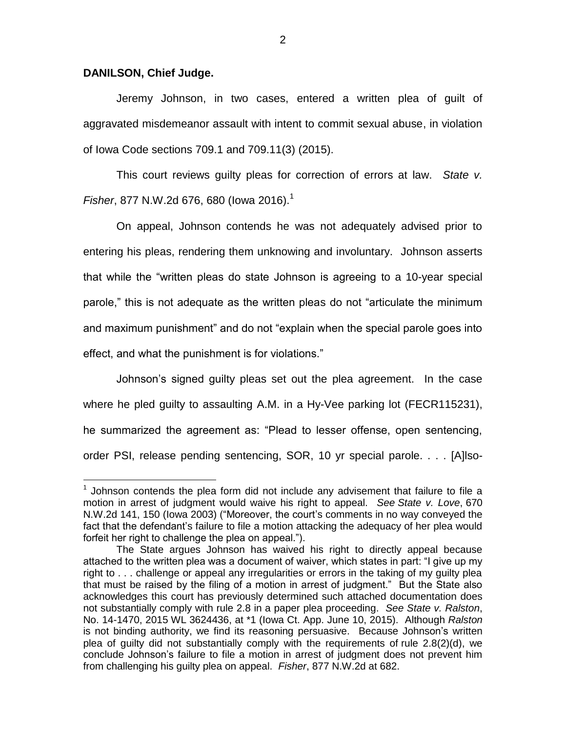## **DANILSON, Chief Judge.**

 $\overline{a}$ 

Jeremy Johnson, in two cases, entered a written plea of guilt of aggravated misdemeanor assault with intent to commit sexual abuse, in violation of Iowa Code sections 709.1 and 709.11(3) (2015).

This court reviews guilty pleas for correction of errors at law. *State v. Fisher*, 877 N.W.2d 676, 680 (lowa 2016).<sup>1</sup>

On appeal, Johnson contends he was not adequately advised prior to entering his pleas, rendering them unknowing and involuntary. Johnson asserts that while the "written pleas do state Johnson is agreeing to a 10-year special parole," this is not adequate as the written pleas do not "articulate the minimum and maximum punishment" and do not "explain when the special parole goes into effect, and what the punishment is for violations."

Johnson's signed guilty pleas set out the plea agreement. In the case where he pled guilty to assaulting A.M. in a Hy-Vee parking lot (FECR115231), he summarized the agreement as: "Plead to lesser offense, open sentencing, order PSI, release pending sentencing, SOR, 10 yr special parole. . . . [A]lso-

 $1$  Johnson contends the plea form did not include any advisement that failure to file a motion in arrest of judgment would waive his right to appeal. *See State v. Love*, 670 N.W.2d 141, 150 (Iowa 2003) ("Moreover, the court's comments in no way conveyed the fact that the defendant's failure to file a motion attacking the adequacy of her plea would forfeit her right to challenge the plea on appeal.").

The State argues Johnson has waived his right to directly appeal because attached to the written plea was a document of waiver, which states in part: "I give up my right to . . . challenge or appeal any irregularities or errors in the taking of my guilty plea that must be raised by the filing of a motion in arrest of judgment." But the State also acknowledges this court has previously determined such attached documentation does not substantially comply with rule 2.8 in a paper plea proceeding. *See State v. Ralston*, No. 14-1470, 2015 WL 3624436, at \*1 (Iowa Ct. App. June 10, 2015). Although *Ralston* is not binding authority, we find its reasoning persuasive. Because Johnson's written plea of guilty did not substantially comply with the requirements of rule 2.8(2)(d), we conclude Johnson's failure to file a motion in arrest of judgment does not prevent him from challenging his guilty plea on appeal. *Fisher*, 877 N.W.2d at 682.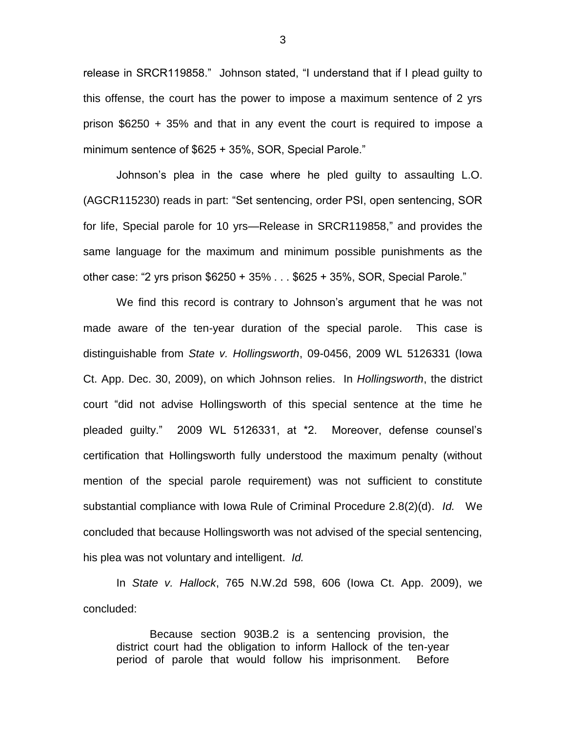release in SRCR119858." Johnson stated, "I understand that if I plead guilty to this offense, the court has the power to impose a maximum sentence of 2 yrs prison \$6250 + 35% and that in any event the court is required to impose a minimum sentence of \$625 + 35%, SOR, Special Parole."

Johnson's plea in the case where he pled guilty to assaulting L.O. (AGCR115230) reads in part: "Set sentencing, order PSI, open sentencing, SOR for life, Special parole for 10 yrs—Release in SRCR119858," and provides the same language for the maximum and minimum possible punishments as the other case: "2 yrs prison \$6250 + 35% . . . \$625 + 35%, SOR, Special Parole."

We find this record is contrary to Johnson's argument that he was not made aware of the ten-year duration of the special parole. This case is distinguishable from *State v. Hollingsworth*, 09-0456, 2009 WL 5126331 (Iowa Ct. App. Dec. 30, 2009), on which Johnson relies. In *Hollingsworth*, the district court "did not advise Hollingsworth of this special sentence at the time he pleaded guilty." 2009 WL 5126331, at \*2. Moreover, defense counsel's certification that Hollingsworth fully understood the maximum penalty (without mention of the special parole requirement) was not sufficient to constitute substantial compliance with Iowa Rule of Criminal Procedure 2.8(2)(d). *Id.* We concluded that because Hollingsworth was not advised of the special sentencing, his plea was not voluntary and intelligent. *Id.* 

In *State v. Hallock*, 765 N.W.2d 598, 606 (Iowa Ct. App. 2009), we concluded:

Because section 903B.2 is a sentencing provision, the district court had the obligation to inform Hallock of the ten-year period of parole that would follow his imprisonment. Before